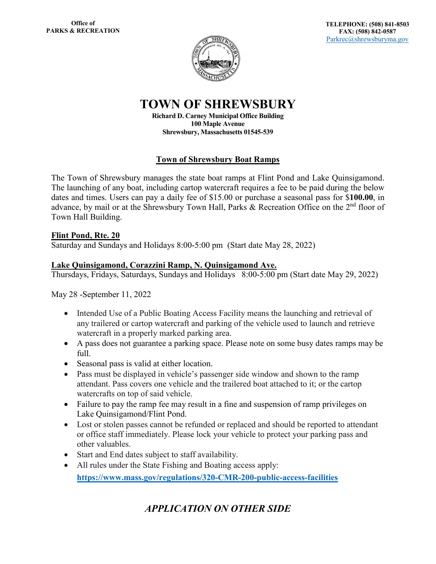# **TOWN OF SHREWSBURY**

**Richard D. Carney Municipal Office Building 100 Maple Avenue Shrewsbury, Massachusetts 01545-539**

### **Town of Shrewsbury Boat Ramps**

The Town of Shrewsbury manages the state boat ramps at Flint Pond and Lake Quinsigamond. The launching of any boat, including cartop watercraft requires a fee to be paid during the below dates and times. Users can pay a daily fee of \$15.00 or purchase a seasonal pass for \$**100.00**, in advance, by mail or at the Shrewsbury Town Hall, Parks & Recreation Office on the 2<sup>nd</sup> floor of Town Hall Building.

#### **Flint Pond, Rte. 20**

Saturday and Sundays and Holidays 8:00-5:00 pm (Start date May 28, 2022)

#### **Lake Quinsigamond, Corazzini Ramp, N. Quinsigamond Ave.**

Thursdays, Fridays, Saturdays, Sundays and Holidays 8:00-5:00 pm (Start date May 29, 2022)

May 28 -September 11, 2022

- Intended Use of a Public Boating Access Facility means the launching and retrieval of any trailered or cartop watercraft and parking of the vehicle used to launch and retrieve watercraft in a properly marked parking area.
- A pass does not guarantee a parking space. Please note on some busy dates ramps may be full.
- Seasonal pass is valid at either location.
- Pass must be displayed in vehicle's passenger side window and shown to the ramp attendant. Pass covers one vehicle and the trailered boat attached to it; or the cartop watercrafts on top of said vehicle.
- Failure to pay the ramp fee may result in a fine and suspension of ramp privileges on Lake Quinsigamond/Flint Pond.
- Lost or stolen passes cannot be refunded or replaced and should be reported to attendant or office staff immediately. Please lock your vehicle to protect your parking pass and other valuables.
- Start and End dates subject to staff availability.
- All rules under the State Fishing and Boating access apply: **<https://www.mass.gov/regulations/320-CMR-200-public-access-facilities>**

## *APPLICATION ON OTHER SIDE*